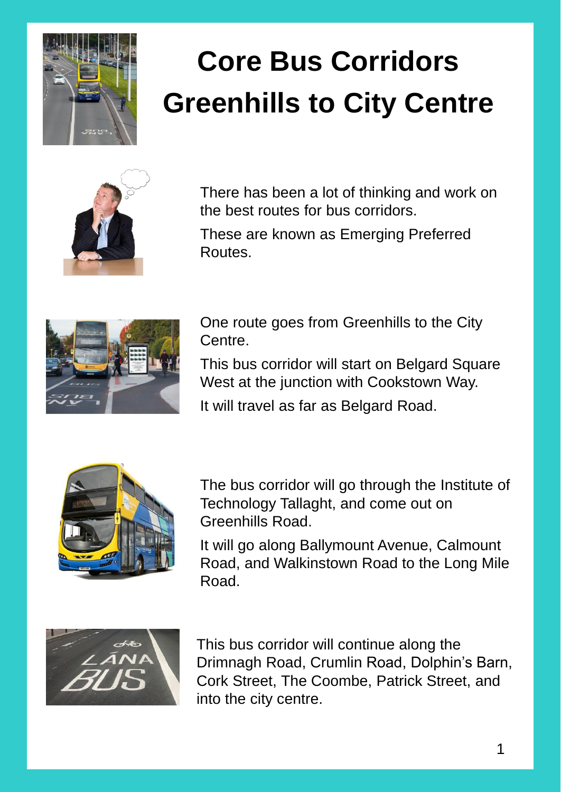

## **Core Bus Corridors Greenhills to City Centre**



There has been a lot of thinking and work on the best routes for bus corridors.

These are known as Emerging Preferred Routes.



One route goes from Greenhills to the City Centre.

This bus corridor will start on Belgard Square West at the junction with Cookstown Way.

It will travel as far as Belgard Road.



The bus corridor will go through the Institute of Technology Tallaght, and come out on Greenhills Road.

It will go along Ballymount Avenue, Calmount Road, and Walkinstown Road to the Long Mile Road.



This bus corridor will continue along the Drimnagh Road, Crumlin Road, Dolphin's Barn, Cork Street, The Coombe, Patrick Street, and into the city centre.